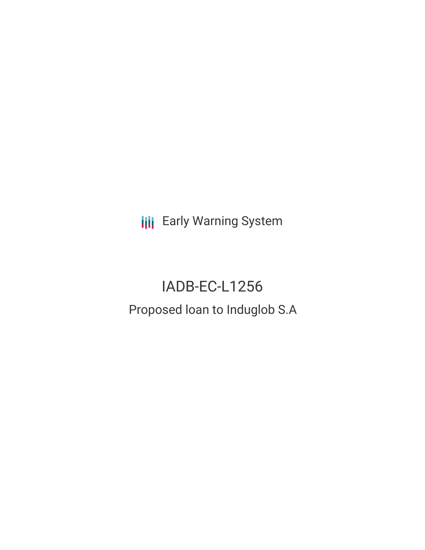**III** Early Warning System

# IADB-EC-L1256 Proposed loan to Induglob S.A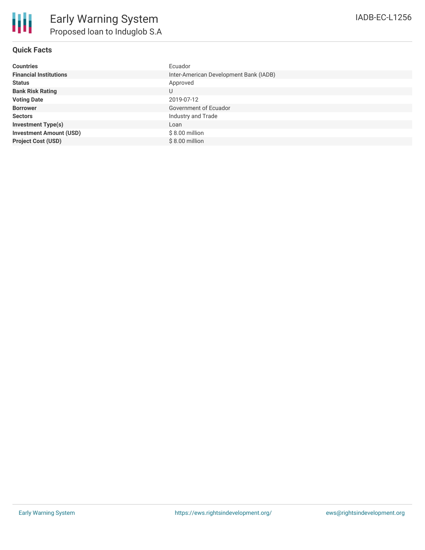| <b>Countries</b>               | Ecuador                                |
|--------------------------------|----------------------------------------|
| <b>Financial Institutions</b>  | Inter-American Development Bank (IADB) |
| <b>Status</b>                  | Approved                               |
| <b>Bank Risk Rating</b>        | U                                      |
| <b>Voting Date</b>             | 2019-07-12                             |
| <b>Borrower</b>                | Government of Ecuador                  |
| <b>Sectors</b>                 | Industry and Trade                     |
| <b>Investment Type(s)</b>      | Loan                                   |
| <b>Investment Amount (USD)</b> | $$8.00$ million                        |
| <b>Project Cost (USD)</b>      | $$8.00$ million                        |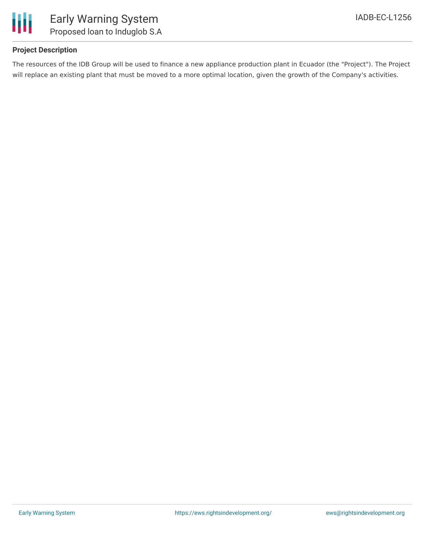

## **Project Description**

The resources of the IDB Group will be used to finance a new appliance production plant in Ecuador (the "Project"). The Project will replace an existing plant that must be moved to a more optimal location, given the growth of the Company's activities.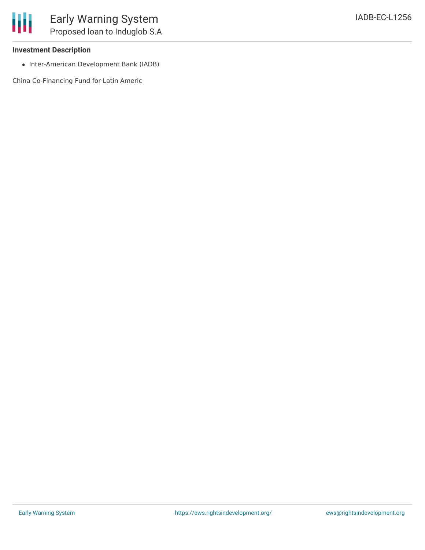#### **Investment Description**

• Inter-American Development Bank (IADB)

China Co-Financing Fund for Latin Americ